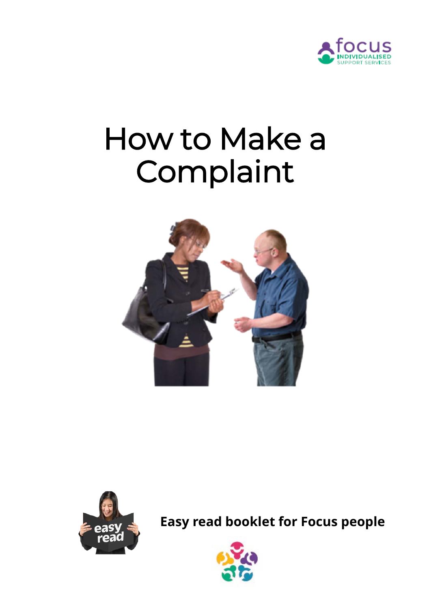

# How to Make a Complaint





**Easy read booklet for Focus people**

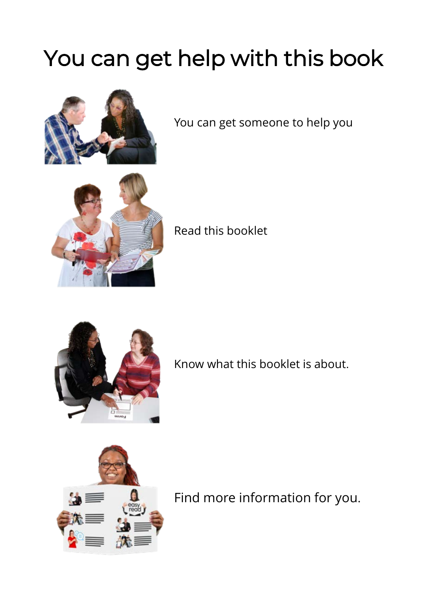# You can get help with this book



You can get someone to help you



#### Read this booklet



Know what this booklet is about.



Find more information for you.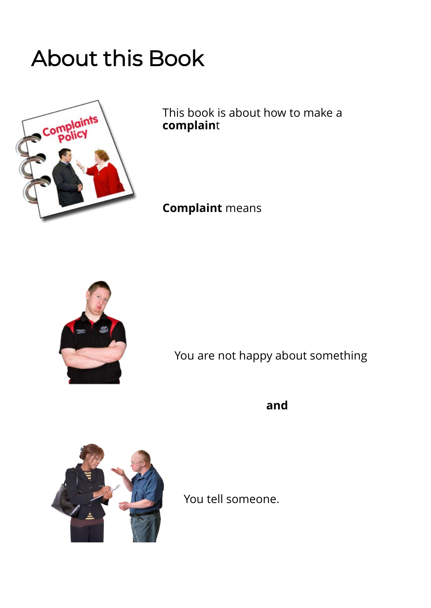### About this Book



This book is about how to make a **complain**t

#### **Complaint** means



You are not happy about something

**and**



You tell someone.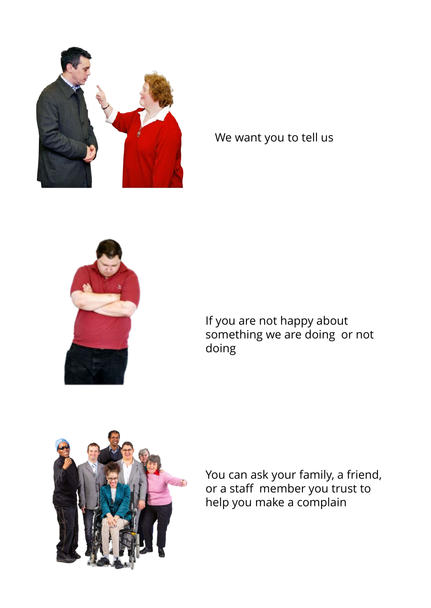

#### We want you to tell us



If you are not happy about something we are doing or not doing



You can ask your family, a friend, or a staff member you trust to help you make a complain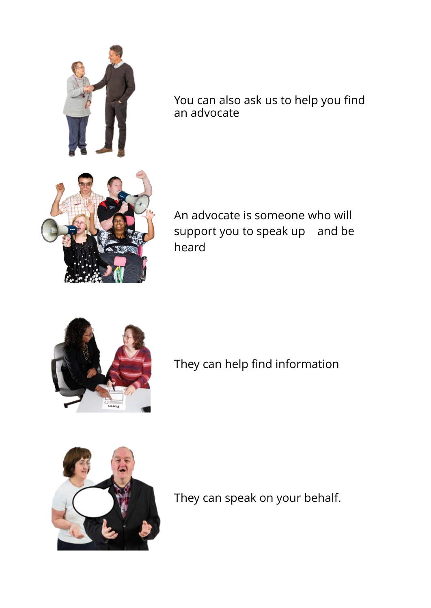

You can also ask us to help you find an advocate

An advocate is someone who will support you to speak up and be heard



They can help find information



They can speak on your behalf.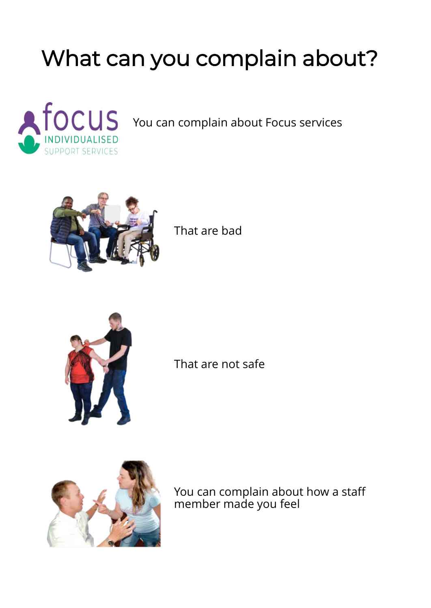## What can you complain about?



You can complain about Focus services



That are bad



That are not safe



You can complain about how a staff member made you feel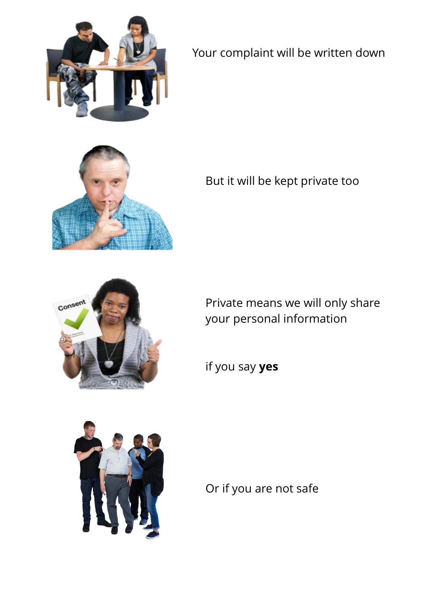

Your complaint will be written down



But it will be kept private too



Private means we will only share your personal information

if you say **yes** 



Or if you are not safe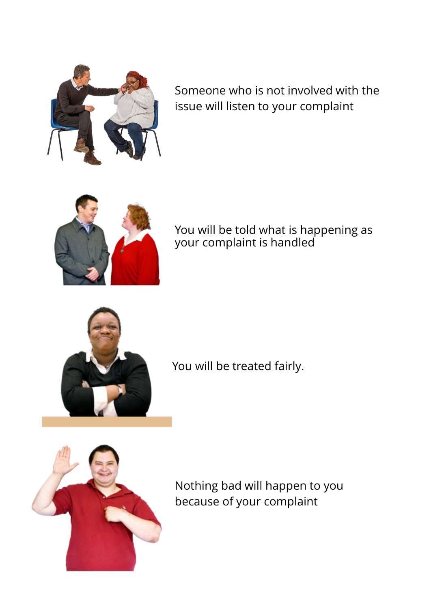

Someone who is not involved with the issue will listen to your complaint



You will be told what is happening as your complaint is handled



You will be treated fairly.



Nothing bad will happen to you because of your complaint